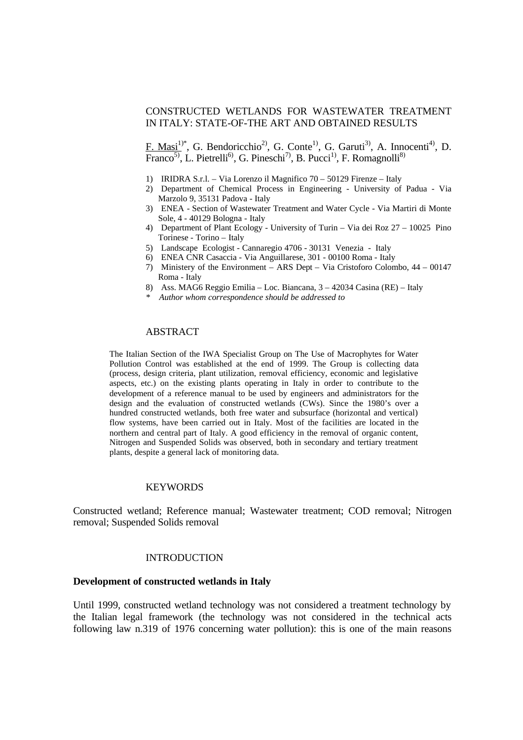# CONSTRUCTED WETLANDS FOR WASTEWATER TREATMENT IN ITALY: STATE-OF-THE ART AND OBTAINED RESULTS

F. Masi<sup>1)\*</sup>, G. Bendoricchio<sup>2)</sup>, G. Conte<sup>1)</sup>, G. Garuti<sup>3)</sup>, A. Innocenti<sup>4)</sup>, D. Franco<sup>5)</sup>, L. Pietrelli<sup>6)</sup>, G. Pineschi<sup>7)</sup>, B. Pucci<sup>1)</sup>, F. Romagnolli<sup>8)</sup>

- 1) IRIDRA S.r.l. Via Lorenzo il Magnifico 70 50129 Firenze Italy
- 2) Department of Chemical Process in Engineering University of Padua Via Marzolo 9, 35131 Padova - Italy
- 3) ENEA Section of Wastewater Treatment and Water Cycle Via Martiri di Monte Sole, 4 - 40129 Bologna - Italy
- 4) Department of Plant Ecology University of Turin Via dei Roz 27 10025 Pino Torinese - Torino – Italy
- 5) Landscape Ecologist Cannaregio 4706 30131 Venezia Italy
- 6) ENEA CNR Casaccia Via Anguillarese, 301 00100 Roma Italy
- 7) Ministery of the Environment ARS Dept Via Cristoforo Colombo, 44 00147 Roma - Italy
- 8) Ass. MAG6 Reggio Emilia Loc. Biancana, 3 42034 Casina (RE) Italy
- *\* Author whom correspondence should be addressed to*

#### ABSTRACT

The Italian Section of the IWA Specialist Group on The Use of Macrophytes for Water Pollution Control was established at the end of 1999. The Group is collecting data (process, design criteria, plant utilization, removal efficiency, economic and legislative aspects, etc.) on the existing plants operating in Italy in order to contribute to the development of a reference manual to be used by engineers and administrators for the design and the evaluation of constructed wetlands (CWs). Since the 1980's over a hundred constructed wetlands, both free water and subsurface (horizontal and vertical) flow systems, have been carried out in Italy. Most of the facilities are located in the northern and central part of Italy. A good efficiency in the removal of organic content, Nitrogen and Suspended Solids was observed, both in secondary and tertiary treatment plants, despite a general lack of monitoring data.

## **KEYWORDS**

Constructed wetland; Reference manual; Wastewater treatment; COD removal; Nitrogen removal; Suspended Solids removal

#### INTRODUCTION

#### **Development of constructed wetlands in Italy**

Until 1999, constructed wetland technology was not considered a treatment technology by the Italian legal framework (the technology was not considered in the technical acts following law n.319 of 1976 concerning water pollution): this is one of the main reasons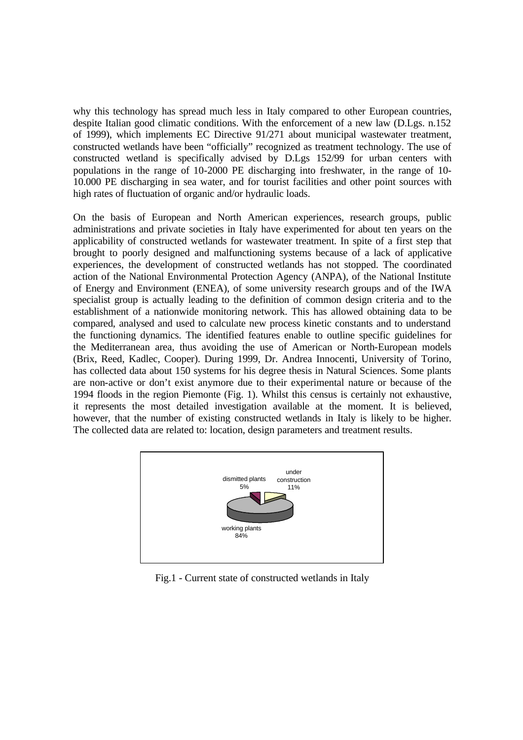why this technology has spread much less in Italy compared to other European countries, despite Italian good climatic conditions. With the enforcement of a new law (D.Lgs. n.152 of 1999), which implements EC Directive 91/271 about municipal wastewater treatment, constructed wetlands have been "officially" recognized as treatment technology. The use of constructed wetland is specifically advised by D.Lgs 152/99 for urban centers with populations in the range of 10-2000 PE discharging into freshwater, in the range of 10- 10.000 PE discharging in sea water, and for tourist facilities and other point sources with high rates of fluctuation of organic and/or hydraulic loads.

On the basis of European and North American experiences, research groups, public administrations and private societies in Italy have experimented for about ten years on the applicability of constructed wetlands for wastewater treatment. In spite of a first step that brought to poorly designed and malfunctioning systems because of a lack of applicative experiences, the development of constructed wetlands has not stopped. The coordinated action of the National Environmental Protection Agency (ANPA), of the National Institute of Energy and Environment (ENEA), of some university research groups and of the IWA specialist group is actually leading to the definition of common design criteria and to the establishment of a nationwide monitoring network. This has allowed obtaining data to be compared, analysed and used to calculate new process kinetic constants and to understand the functioning dynamics. The identified features enable to outline specific guidelines for the Mediterranean area, thus avoiding the use of American or North-European models (Brix, Reed, Kadlec, Cooper). During 1999, Dr. Andrea Innocenti, University of Torino, has collected data about 150 systems for his degree thesis in Natural Sciences. Some plants are non-active or don't exist anymore due to their experimental nature or because of the 1994 floods in the region Piemonte (Fig. 1). Whilst this census is certainly not exhaustive, it represents the most detailed investigation available at the moment. It is believed, however, that the number of existing constructed wetlands in Italy is likely to be higher. The collected data are related to: location, design parameters and treatment results.



Fig.1 - Current state of constructed wetlands in Italy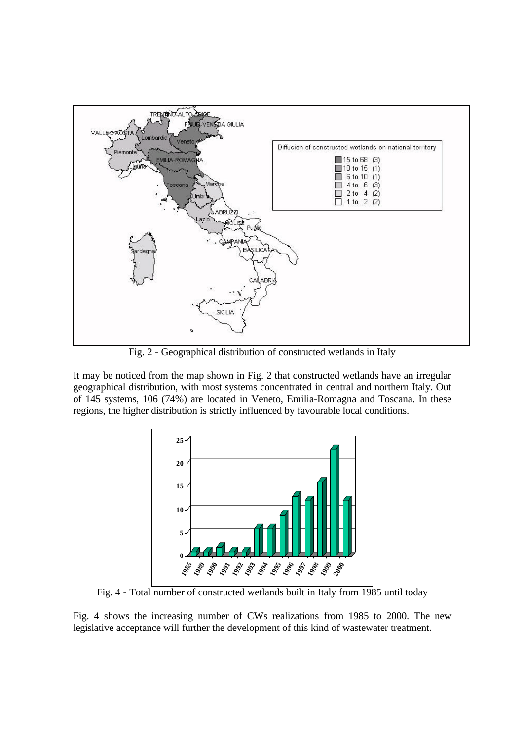

Fig. 2 - Geographical distribution of constructed wetlands in Italy

It may be noticed from the map shown in Fig. 2 that constructed wetlands have an irregular geographical distribution, with most systems concentrated in central and northern Italy. Out of 145 systems, 106 (74%) are located in Veneto, Emilia-Romagna and Toscana. In these regions, the higher distribution is strictly influenced by favourable local conditions.



Fig. 4 - Total number of constructed wetlands built in Italy from 1985 until today

Fig. 4 shows the increasing number of CWs realizations from 1985 to 2000. The new legislative acceptance will further the development of this kind of wastewater treatment.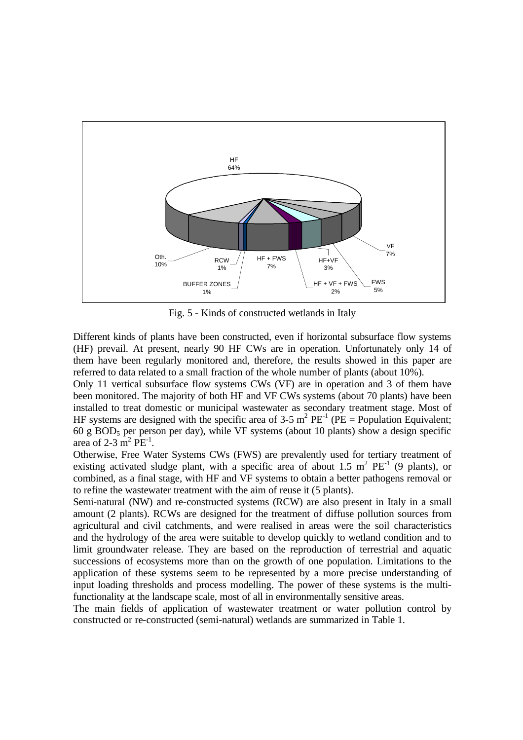

Fig. 5 - Kinds of constructed wetlands in Italy

Different kinds of plants have been constructed, even if horizontal subsurface flow systems (HF) prevail. At present, nearly 90 HF CWs are in operation. Unfortunately only 14 of them have been regularly monitored and, therefore, the results showed in this paper are referred to data related to a small fraction of the whole number of plants (about 10%).

Only 11 vertical subsurface flow systems CWs (VF) are in operation and 3 of them have been monitored. The majority of both HF and VF CWs systems (about 70 plants) have been installed to treat domestic or municipal wastewater as secondary treatment stage. Most of HF systems are designed with the specific area of 3-5  $m^2$  PE<sup>-1</sup> (PE = Population Equivalent; 60 g BOD<sub>5</sub> per person per day), while VF systems (about 10 plants) show a design specific area of 2-3  $\text{m}^2$  PE<sup>-1</sup>.

Otherwise, Free Water Systems CWs (FWS) are prevalently used for tertiary treatment of existing activated sludge plant, with a specific area of about 1.5  $m^2$  PE<sup>-1</sup> (9 plants), or combined, as a final stage, with HF and VF systems to obtain a better pathogens removal or to refine the wastewater treatment with the aim of reuse it (5 plants).

Semi-natural (NW) and re-constructed systems (RCW) are also present in Italy in a small amount (2 plants). RCWs are designed for the treatment of diffuse pollution sources from agricultural and civil catchments, and were realised in areas were the soil characteristics and the hydrology of the area were suitable to develop quickly to wetland condition and to limit groundwater release. They are based on the reproduction of terrestrial and aquatic successions of ecosystems more than on the growth of one population. Limitations to the application of these systems seem to be represented by a more precise understanding of input loading thresholds and process modelling. The power of these systems is the multifunctionality at the landscape scale, most of all in environmentally sensitive areas.

The main fields of application of wastewater treatment or water pollution control by constructed or re-constructed (semi-natural) wetlands are summarized in Table 1.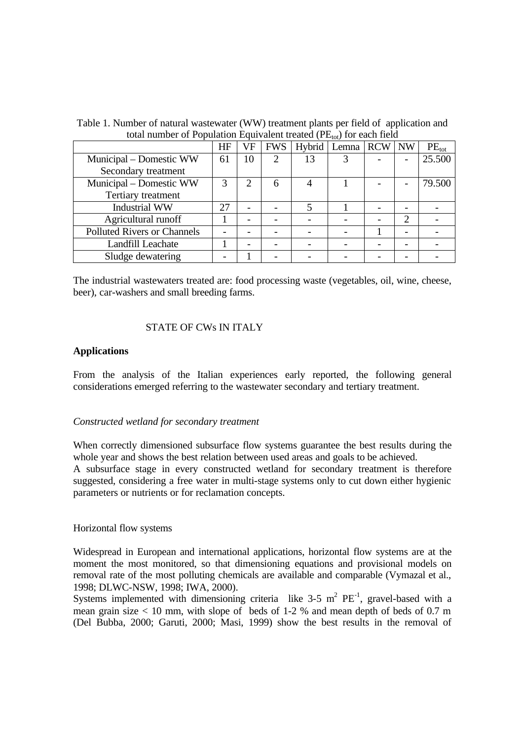| $\frac{1}{2}$ and $\frac{1}{2}$ or $\frac{1}{2}$ optimized Equivalent treated $\frac{1}{2}$ $\frac{1}{2}$ $\frac{1}{2}$ of each field | HF | VF | <b>FWS</b> | Hybrid | Lemna RCW | <b>NW</b>                   | $PE_{\text{tot}}$ |
|---------------------------------------------------------------------------------------------------------------------------------------|----|----|------------|--------|-----------|-----------------------------|-------------------|
| Municipal – Domestic WW                                                                                                               | 61 | 10 | 2          | 13     |           |                             | 25.500            |
| Secondary treatment                                                                                                                   |    |    |            |        |           |                             |                   |
| Municipal – Domestic WW                                                                                                               | 3  | 2  | 6          |        |           |                             | 79.500            |
| Tertiary treatment                                                                                                                    |    |    |            |        |           |                             |                   |
| <b>Industrial WW</b>                                                                                                                  | 27 | -  |            |        |           |                             |                   |
| Agricultural runoff                                                                                                                   |    |    |            |        |           | $\mathcal{D}_{\mathcal{A}}$ |                   |
| <b>Polluted Rivers or Channels</b>                                                                                                    |    |    |            |        |           |                             |                   |
| Landfill Leachate                                                                                                                     |    |    |            |        |           |                             |                   |
| Sludge dewatering                                                                                                                     |    |    |            |        |           |                             |                   |

Table 1. Number of natural wastewater (WW) treatment plants per field of application and total number of Population Equivalent treated  $(PE_{\alpha})$  for each field

The industrial wastewaters treated are: food processing waste (vegetables, oil, wine, cheese, beer), car-washers and small breeding farms.

# STATE OF CWs IN ITALY

## **Applications**

From the analysis of the Italian experiences early reported, the following general considerations emerged referring to the wastewater secondary and tertiary treatment.

## *Constructed wetland for secondary treatment*

When correctly dimensioned subsurface flow systems guarantee the best results during the whole year and shows the best relation between used areas and goals to be achieved.

A subsurface stage in every constructed wetland for secondary treatment is therefore suggested, considering a free water in multi-stage systems only to cut down either hygienic parameters or nutrients or for reclamation concepts.

## Horizontal flow systems

Widespread in European and international applications, horizontal flow systems are at the moment the most monitored, so that dimensioning equations and provisional models on removal rate of the most polluting chemicals are available and comparable (Vymazal et al., 1998; DLWC-NSW, 1998; IWA, 2000).

Systems implemented with dimensioning criteria like 3-5  $m^2$  PE<sup>-1</sup>, gravel-based with a mean grain size  $< 10$  mm, with slope of beds of 1-2 % and mean depth of beds of 0.7 m (Del Bubba, 2000; Garuti, 2000; Masi, 1999) show the best results in the removal of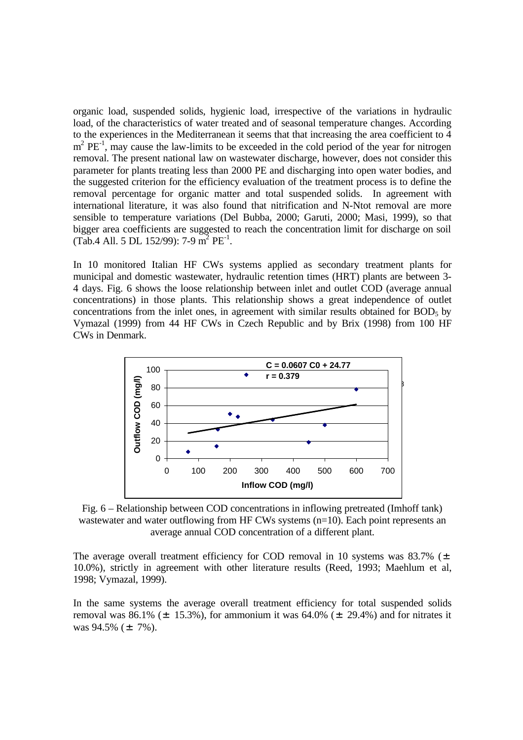organic load, suspended solids, hygienic load, irrespective of the variations in hydraulic load, of the characteristics of water treated and of seasonal temperature changes. According to the experiences in the Mediterranean it seems that that increasing the area coefficient to 4  $m^2$  PE<sup>-1</sup>, may cause the law-limits to be exceeded in the cold period of the year for nitrogen removal. The present national law on wastewater discharge, however, does not consider this parameter for plants treating less than 2000 PE and discharging into open water bodies, and the suggested criterion for the efficiency evaluation of the treatment process is to define the removal percentage for organic matter and total suspended solids. In agreement with international literature, it was also found that nitrification and N-Ntot removal are more sensible to temperature variations (Del Bubba, 2000; Garuti, 2000; Masi, 1999), so that bigger area coefficients are suggested to reach the concentration limit for discharge on soil  $(Tab.4$  All. 5 DL 152/99): 7-9 m<sup>2</sup> PE<sup>-1</sup>.

In 10 monitored Italian HF CWs systems applied as secondary treatment plants for municipal and domestic wastewater, hydraulic retention times (HRT) plants are between 3- 4 days. Fig. 6 shows the loose relationship between inlet and outlet COD (average annual concentrations) in those plants. This relationship shows a great independence of outlet concentrations from the inlet ones, in agreement with similar results obtained for  $BOD<sub>5</sub>$  by Vymazal (1999) from 44 HF CWs in Czech Republic and by Brix (1998) from 100 HF CWs in Denmark.



Fig. 6 – Relationship between COD concentrations in inflowing pretreated (Imhoff tank) wastewater and water outflowing from HF CWs systems (n=10). Each point represents an average annual COD concentration of a different plant.

The average overall treatment efficiency for COD removal in 10 systems was 83.7% ( $\pm$ 10.0%), strictly in agreement with other literature results (Reed, 1993; Maehlum et al, 1998; Vymazal, 1999).

In the same systems the average overall treatment efficiency for total suspended solids removal was 86.1% ( $\pm$  15.3%), for ammonium it was 64.0% ( $\pm$  29.4%) and for nitrates it was  $94.5\%$  ( $\pm$  7%).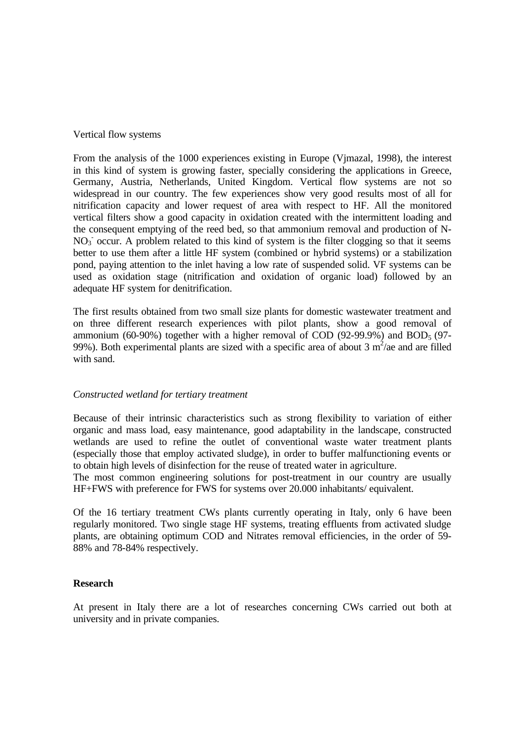# Vertical flow systems

From the analysis of the 1000 experiences existing in Europe (Vjmazal, 1998), the interest in this kind of system is growing faster, specially considering the applications in Greece, Germany, Austria, Netherlands, United Kingdom. Vertical flow systems are not so widespread in our country. The few experiences show very good results most of all for nitrification capacity and lower request of area with respect to HF. All the monitored vertical filters show a good capacity in oxidation created with the intermittent loading and the consequent emptying of the reed bed, so that ammonium removal and production of N-NO<sub>3</sub> occur. A problem related to this kind of system is the filter clogging so that it seems better to use them after a little HF system (combined or hybrid systems) or a stabilization pond, paying attention to the inlet having a low rate of suspended solid. VF systems can be used as oxidation stage (nitrification and oxidation of organic load) followed by an adequate HF system for denitrification.

The first results obtained from two small size plants for domestic wastewater treatment and on three different research experiences with pilot plants, show a good removal of ammonium (60-90%) together with a higher removal of COD (92-99.9%) and  $BOD<sub>5</sub>$  (97-99%). Both experimental plants are sized with a specific area of about 3  $m^2/ae$  and are filled with sand.

# *Constructed wetland for tertiary treatment*

Because of their intrinsic characteristics such as strong flexibility to variation of either organic and mass load, easy maintenance, good adaptability in the landscape, constructed wetlands are used to refine the outlet of conventional waste water treatment plants (especially those that employ activated sludge), in order to buffer malfunctioning events or to obtain high levels of disinfection for the reuse of treated water in agriculture.

The most common engineering solutions for post-treatment in our country are usually HF+FWS with preference for FWS for systems over 20.000 inhabitants/ equivalent.

Of the 16 tertiary treatment CWs plants currently operating in Italy, only 6 have been regularly monitored. Two single stage HF systems, treating effluents from activated sludge plants, are obtaining optimum COD and Nitrates removal efficiencies, in the order of 59- 88% and 78-84% respectively.

## **Research**

At present in Italy there are a lot of researches concerning CWs carried out both at university and in private companies.